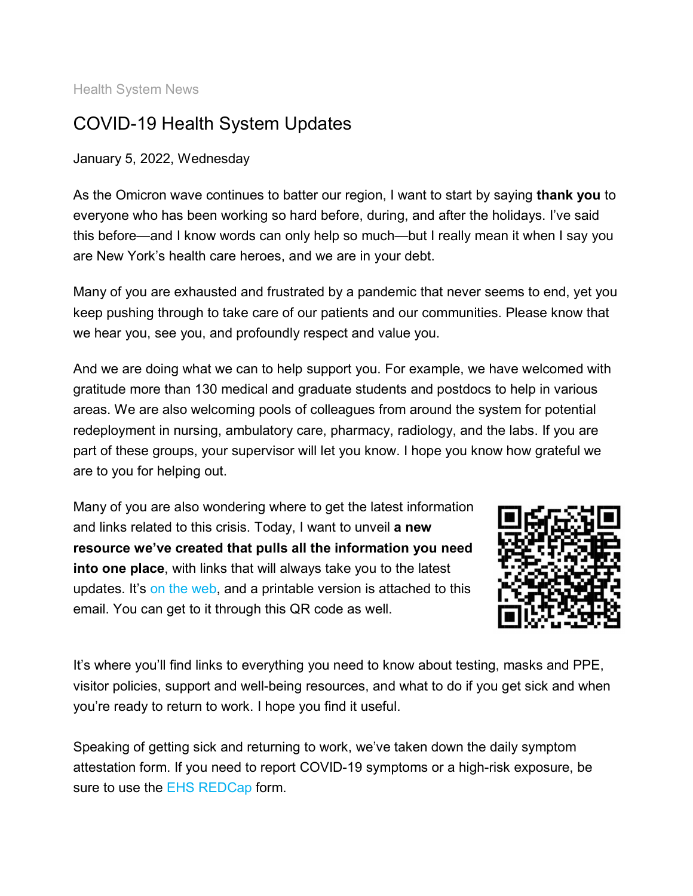Health System News

## COVID-19 Health System Updates

## January 5, 2022, Wednesday

As the Omicron wave continues to batter our region, I want to start by saying **thank you** to everyone who has been working so hard before, during, and after the holidays. I've said this before—and I know words can only help so much—but I really mean it when I say you are New York's health care heroes, and we are in your debt.

Many of you are exhausted and frustrated by a pandemic that never seems to end, yet you keep pushing through to take care of our patients and our communities. Please know that we hear you, see you, and profoundly respect and value you.

And we are doing what we can to help support you. For example, we have welcomed with gratitude more than 130 medical and graduate students and postdocs to help in various areas. We are also welcoming pools of colleagues from around the system for potential redeployment in nursing, ambulatory care, pharmacy, radiology, and the labs. If you are part of these groups, your supervisor will let you know. I hope you know how grateful we are to you for helping out.

Many of you are also wondering where to get the latest information and links related to this crisis. Today, I want to unveil **a new resource we've created that pulls all the information you need into one place**, with links that will always take you to the latest updates. It's [on the web,](https://s2.bl-1.com/h/doGx8cV6?url=https://www.mountsinai.org/about/covid19/staff-resources/omicron-variant) and a printable version is attached to this email. You can get to it through this QR code as well.



It's where you'll find links to everything you need to know about testing, masks and PPE, visitor policies, support and well-being resources, and what to do if you get sick and when you're ready to return to work. I hope you find it useful.

Speaking of getting sick and returning to work, we've taken down the daily symptom attestation form. If you need to report COVID-19 symptoms or a high-risk exposure, be sure to use the [EHS REDCap](https://s2.bl-1.com/h/doGx8jt8?url=https://redcap.mountsinai.org/redcap/surveys/?s=NR7Y7DAWDW) form.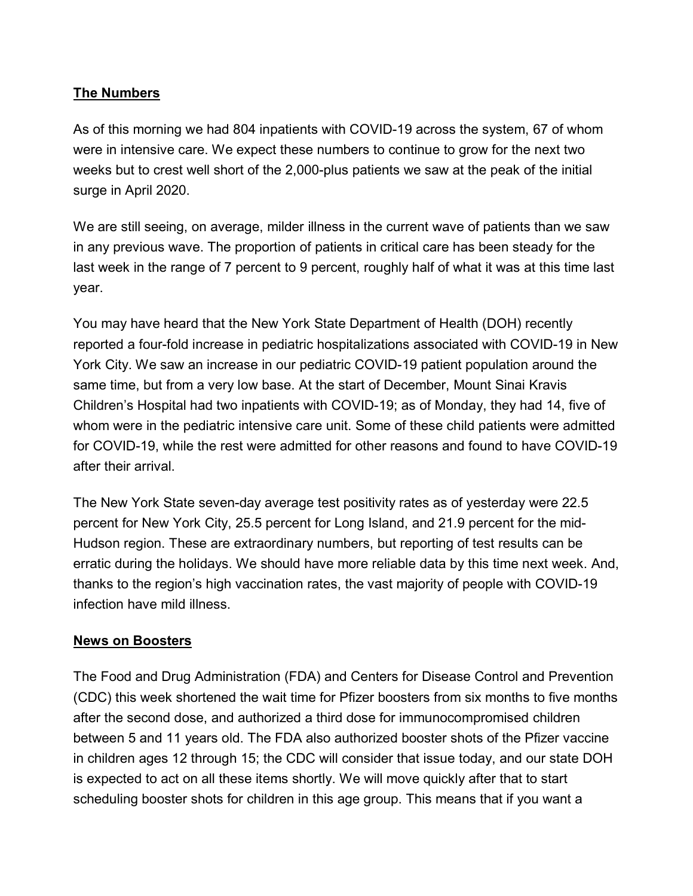## **The Numbers**

As of this morning we had 804 inpatients with COVID-19 across the system, 67 of whom were in intensive care. We expect these numbers to continue to grow for the next two weeks but to crest well short of the 2,000-plus patients we saw at the peak of the initial surge in April 2020.

We are still seeing, on average, milder illness in the current wave of patients than we saw in any previous wave. The proportion of patients in critical care has been steady for the last week in the range of 7 percent to 9 percent, roughly half of what it was at this time last year.

You may have heard that the New York State Department of Health (DOH) recently reported a four-fold increase in pediatric hospitalizations associated with COVID-19 in New York City. We saw an increase in our pediatric COVID-19 patient population around the same time, but from a very low base. At the start of December, Mount Sinai Kravis Children's Hospital had two inpatients with COVID-19; as of Monday, they had 14, five of whom were in the pediatric intensive care unit. Some of these child patients were admitted for COVID-19, while the rest were admitted for other reasons and found to have COVID-19 after their arrival.

The New York State seven-day average test positivity rates as of yesterday were 22.5 percent for New York City, 25.5 percent for Long Island, and 21.9 percent for the mid-Hudson region. These are extraordinary numbers, but reporting of test results can be erratic during the holidays. We should have more reliable data by this time next week. And, thanks to the region's high vaccination rates, the vast majority of people with COVID-19 infection have mild illness.

## **News on Boosters**

The Food and Drug Administration (FDA) and Centers for Disease Control and Prevention (CDC) this week shortened the wait time for Pfizer boosters from six months to five months after the second dose, and authorized a third dose for immunocompromised children between 5 and 11 years old. The FDA also authorized booster shots of the Pfizer vaccine in children ages 12 through 15; the CDC will consider that issue today, and our state DOH is expected to act on all these items shortly. We will move quickly after that to start scheduling booster shots for children in this age group. This means that if you want a